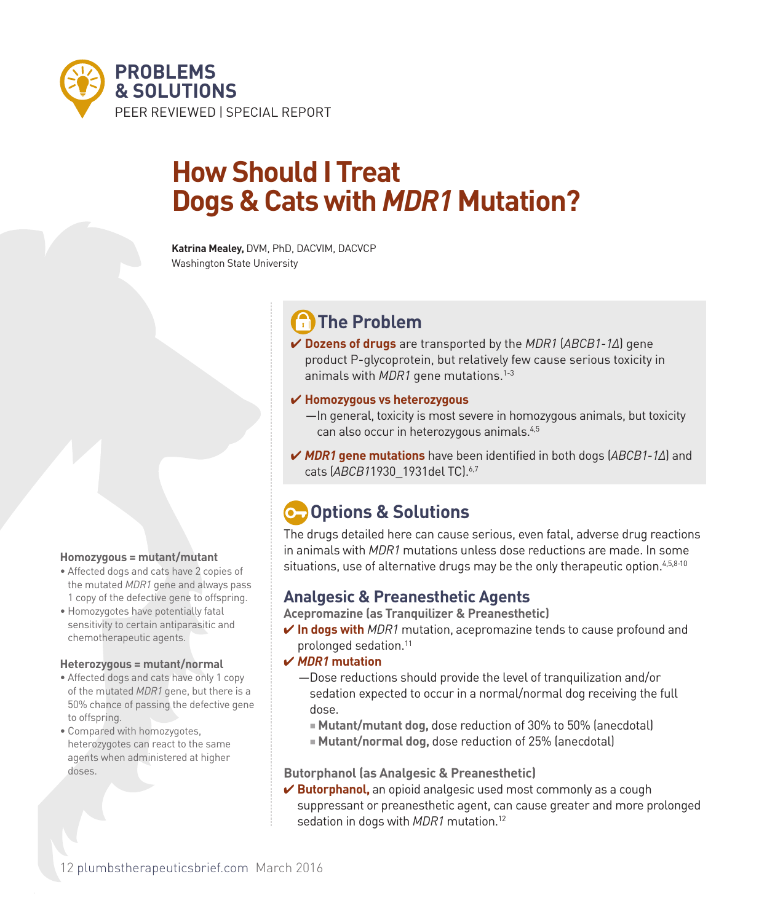

# **How Should I Treat Dogs & Cats with** *MDR1* **Mutation?**

**Katrina Mealey,** DVM, PhD, DACVIM, DACVCP Washington State University

# **The Problem**

4 **Dozens of drugs** are transported by the *MDR1* (*ABCB1-1Δ*) gene product P-glycoprotein, but relatively few cause serious toxicity in animals with *MDR1* gene mutations.1-3

## 4 **Homozygous vs heterozygous**

- —In general, toxicity is most severe in homozygous animals, but toxicity can also occur in heterozygous animals.4,5
- 4 *MDR1* **gene mutations** have been identified in both dogs (*ABCB1-1Δ*) and cats (*ABCB1*1930\_1931del TC).6,7

## **C** Options & Solutions

The drugs detailed here can cause serious, even fatal, adverse drug reactions in animals with *MDR1* mutations unless dose reductions are made. In some situations, use of alternative drugs may be the only therapeutic option.<sup>4,5,8-10</sup>

## **Analgesic & Preanesthetic Agents**

**Acepromazine (as Tranquilizer & Preanesthetic)**

- **∕ In dogs with** *MDR1* mutation, acepromazine tends to cause profound and prolonged sedation.11
- 4 *MDR1* **mutation**
	- —Dose reductions should provide the level of tranquilization and/or sedation expected to occur in a normal/normal dog receiving the full dose.
		- **Mutant/mutant dog, dose reduction of 30% to 50% (anecdotal)**
		- **Mutant/normal dog,** dose reduction of 25% (anecdotal)

## **Butorphanol (as Analgesic & Preanesthetic)**

**► Butorphanol,** an opioid analgesic used most commonly as a cough suppressant or preanesthetic agent, can cause greater and more prolonged sedation in dogs with *MDR1* mutation.12

## **Homozygous = mutant/mutant**

- Affected dogs and cats have 2 copies of the mutated *MDR1* gene and always pass 1 copy of the defective gene to offspring.
- Homozygotes have potentially fatal sensitivity to certain antiparasitic and chemotherapeutic agents.

#### **Heterozygous = mutant/normal**

- Affected dogs and cats have only 1 copy of the mutated *MDR1* gene, but there is a 50% chance of passing the defective gene to offspring.
- Compared with homozygotes, heterozygotes can react to the same agents when administered at higher doses.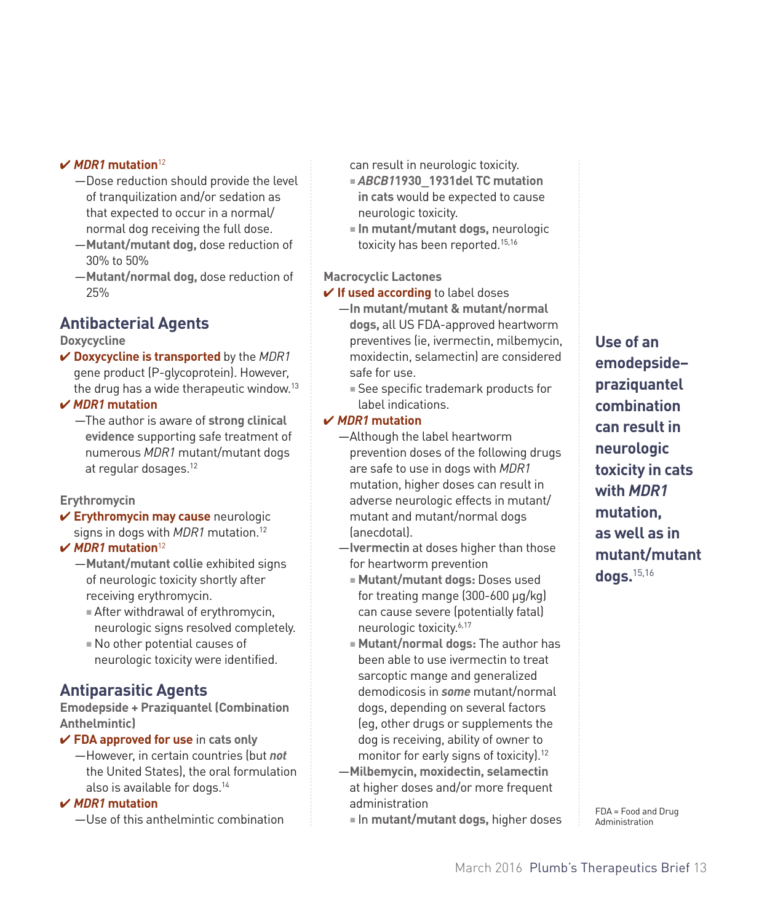### 4 *MDR1* **mutation**<sup>12</sup>

- —Dose reduction should provide the level of tranquilization and/or sedation as that expected to occur in a normal/ normal dog receiving the full dose.
- —**Mutant/mutant dog,** dose reduction of 30% to 50%
- —**Mutant/normal dog,** dose reduction of 25%

## **Antibacterial Agents**

## **Doxycycline**

4 **Doxycycline is transported** by the *MDR1* gene product (P-glycoprotein). However, the drug has a wide therapeutic window. $13$ 

### 4 *MDR1* **mutation**

—The author is aware of **strong clinical evidence** supporting safe treatment of numerous *MDR1* mutant/mutant dogs at regular dosages.12

## **Erythromycin**

4 **Erythromycin may cause** neurologic signs in dogs with *MDR1* mutation.12

## 4 *MDR1* **mutation**<sup>12</sup>

- —**Mutant/mutant collie** exhibited signs of neurologic toxicity shortly after receiving erythromycin.
	- $\blacksquare$  After withdrawal of erythromycin, neurologic signs resolved completely.
	- $\blacksquare$  No other potential causes of neurologic toxicity were identified.

## **Antiparasitic Agents**

## **Emodepside + Praziquantel (Combination Anthelmintic)**

4 **FDA approved for use** in **cats only**

—However, in certain countries (but *not* the United States), the oral formulation also is available for dogs.14

## 4 *MDR1* **mutation**

—Use of this anthelmintic combination

can result in neurologic toxicity.

- <sup>n</sup> *ABCB1***1930\_1931del TC mutation in cats** would be expected to cause neurologic toxicity.
- **n** In mutant/mutant dogs, neurologic toxicity has been reported.<sup>15,16</sup>

## **Macrocyclic Lactones**

- **✓ If used according** to label doses
	- —**In mutant/mutant & mutant/normal dogs,** all US FDA-approved heartworm preventives (ie, ivermectin, milbemycin, moxidectin, selamectin) are considered safe for use.
		- See specific trademark products for label indications.

## 4 *MDR1* **mutation**

- —Although the label heartworm prevention doses of the following drugs are safe to use in dogs with *MDR1* mutation, higher doses can result in adverse neurologic effects in mutant/ mutant and mutant/normal dogs (anecdotal).
- —**Ivermectin** at doses higher than those for heartworm prevention
	- **Mutant/mutant dogs: Doses used** for treating mange (300-600 µg/kg) can cause severe (potentially fatal) neurologic toxicity.6,17
	- **n** Mutant/normal dogs: The author has been able to use ivermectin to treat sarcoptic mange and generalized demodicosis in *some* mutant/normal dogs, depending on several factors (eg, other drugs or supplements the dog is receiving, ability of owner to monitor for early signs of toxicity).12
- —**Milbemycin, moxidectin, selamectin**  at higher doses and/or more frequent administration
	- **n** In mutant/mutant dogs, higher doses

**Use of an emodepside– praziquantel combination can result in neurologic toxicity in cats with** *MDR1* **mutation, as well as in mutant/mutant dogs.**15,16

FDA = Food and Drug Administration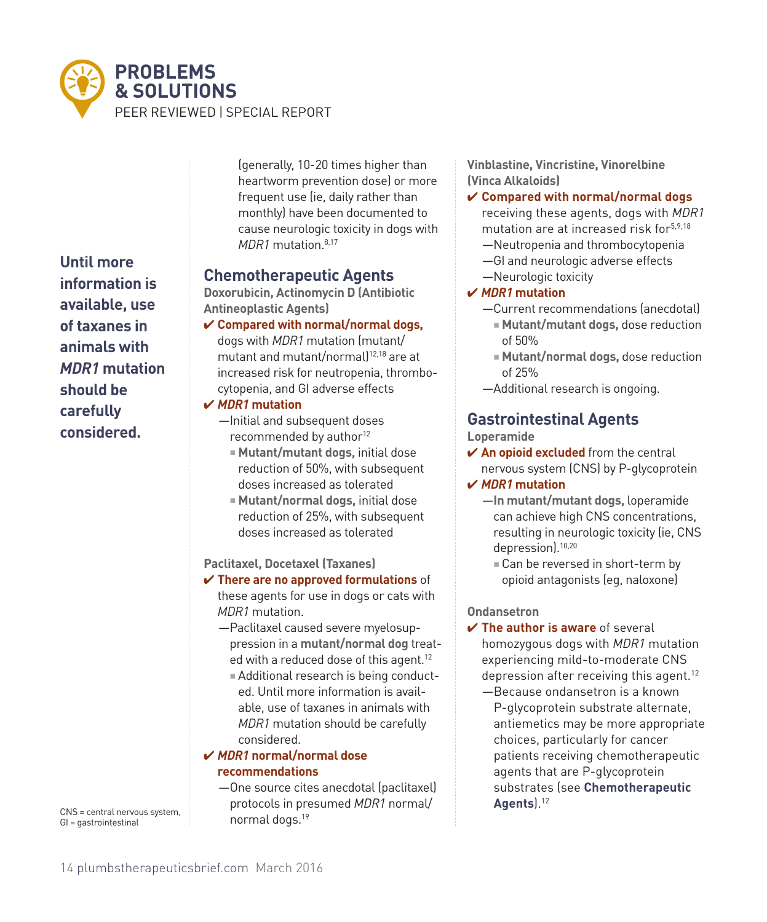

**Until more information is available, use of taxanes in animals with**  *MDR1* **mutation should be carefully considered.**

CNS = central nervous system, GI = gastrointestinal

(generally, 10-20 times higher than heartworm prevention dose) or more frequent use (ie, daily rather than monthly) have been documented to cause neurologic toxicity in dogs with *MDR1* mutation.8,17

## **Chemotherapeutic Agents**

**Doxorubicin, Actinomycin D (Antibiotic Antineoplastic Agents)**

4 **Compared with normal/normal dogs,**  dogs with *MDR1* mutation (mutant/ mutant and mutant/normal)<sup>12,18</sup> are at increased risk for neutropenia, thrombocytopenia, and GI adverse effects

## 4 *MDR1* **mutation**

- —Initial and subsequent doses recommended by author<sup>12</sup>
	- **Mutant/mutant dogs, initial dose** reduction of 50%, with subsequent doses increased as tolerated
	- **Mutant/normal dogs, initial dose** reduction of 25%, with subsequent doses increased as tolerated

## **Paclitaxel, Docetaxel (Taxanes)**

- 4 **There are no approved formulations** of these agents for use in dogs or cats with *MDR1* mutation.
	- —Paclitaxel caused severe myelosuppression in a **mutant/normal dog** treated with a reduced dose of this agent.<sup>12</sup>
		- $=$  Additional research is being conducted. Until more information is available, use of taxanes in animals with *MDR1* mutation should be carefully considered.

## 4 *MDR1* **normal/normal dose recommendations**

—One source cites anecdotal (paclitaxel) protocols in presumed *MDR1* normal/ normal dogs.<sup>19</sup>

**Vinblastine, Vincristine, Vinorelbine (Vinca Alkaloids)** 

## 4 **Compared with normal/normal dogs**

receiving these agents, dogs with *MDR1* mutation are at increased risk for5,9,18

- —Neutropenia and thrombocytopenia
- —GI and neurologic adverse effects
- —Neurologic toxicity

## 4 *MDR1* **mutation**

- —Current recommendations (anecdotal) <sup>n</sup> **Mutant/mutant dogs,** dose reduction
- of 50%
- <sup>n</sup> **Mutant/normal dogs,** dose reduction of 25%
- —Additional research is ongoing.

## **Gastrointestinal Agents**

**Loperamide**

- 4 **An opioid excluded** from the central nervous system (CNS) by P-glycoprotein 4 *MDR1* **mutation**
	- —**In mutant/mutant dogs,** loperamide can achieve high CNS concentrations, resulting in neurologic toxicity (ie, CNS depression).10,20
		- Can be reversed in short-term by opioid antagonists (eg, naloxone)

## **Ondansetron**

- 4 **The author is aware** of several homozygous dogs with *MDR1* mutation experiencing mild-to-moderate CNS depression after receiving this agent.<sup>12</sup>
	- —Because ondansetron is a known P-glycoprotein substrate alternate, antiemetics may be more appropriate choices, particularly for cancer patients receiving chemotherapeutic agents that are P-glycoprotein substrates (see **Chemotherapeutic Agents**).12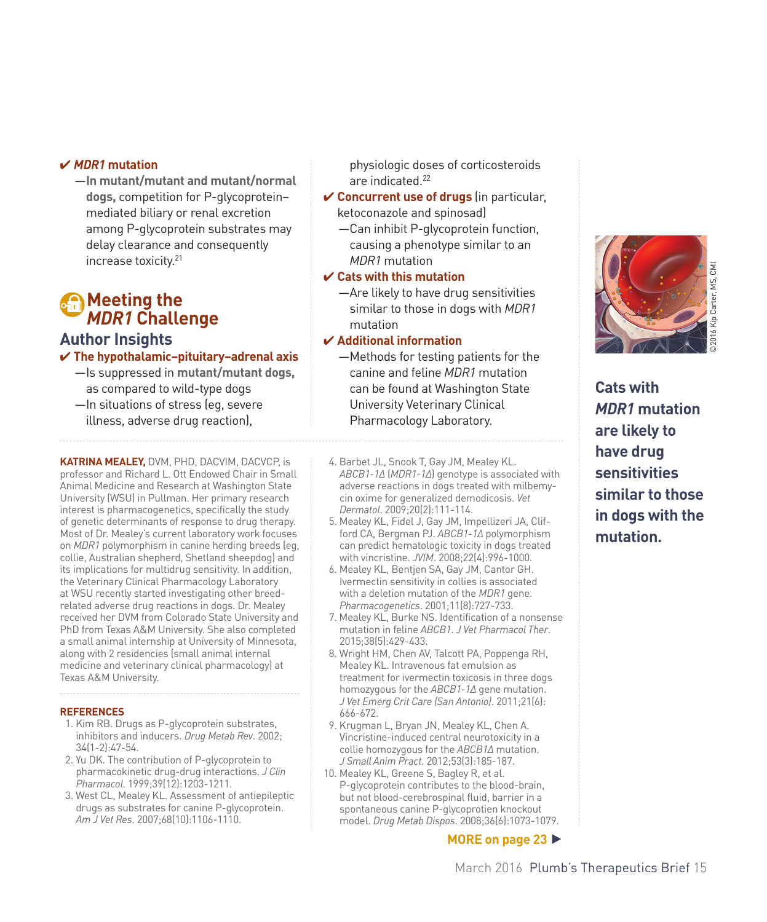### 4 *MDR1* **mutation**

—**In mutant/mutant and mutant/normal dogs,** competition for P-glycoprotein– mediated biliary or renal excretion among P-glycoprotein substrates may delay clearance and consequently increase toxicity.21

## **Meeting the** *MDR1* **Challenge**

## **Author Insights**

#### 4 **The hypothalamic–pituitary–adrenal axis** —Is suppressed in **mutant/mutant dogs,**

- as compared to wild-type dogs
- —In situations of stress (eg, severe illness, adverse drug reaction),

**KATRINA MEALEY,** DVM, PHD, DACVIM, DACVCP, is professor and Richard L. Ott Endowed Chair in Small Animal Medicine and Research at Washington State University (WSU) in Pullman. Her primary research interest is pharmacogenetics, specifically the study of genetic determinants of response to drug therapy. Most of Dr. Mealey's current laboratory work focuses on *MDR1* polymorphism in canine herding breeds (eg, collie, Australian shepherd, Shetland sheepdog) and its implications for multidrug sensitivity. In addition, the Veterinary Clinical Pharmacology Laboratory at WSU recently started investigating other breedrelated adverse drug reactions in dogs. Dr. Mealey received her DVM from Colorado State University and PhD from Texas A&M University. She also completed a small animal internship at University of Minnesota, along with 2 residencies (small animal internal medicine and veterinary clinical pharmacology) at Texas A&M University.

#### **REFERENCES**

- 1. Kim RB. Drugs as P-glycoprotein substrates, inhibitors and inducers. *Drug Metab Rev*. 2002; 34(1-2):47-54.
- 2. Yu DK. The contribution of P-glycoprotein to pharmacokinetic drug-drug interactions. *J Clin Pharmacol*. 1999;39(12):1203-1211.
- 3. West CL, Mealey KL. Assessment of antiepileptic drugs as substrates for canine P-glycoprotein. *Am J Vet Res*. 2007;68(10):1106-1110.

physiologic doses of corticosteroids are indicated.<sup>22</sup>

- 4 **Concurrent use of drugs** (in particular, ketoconazole and spinosad)
	- —Can inhibit P-glycoprotein function, causing a phenotype similar to an *MDR1* mutation

## 4 **Cats with this mutation**

—Are likely to have drug sensitivities similar to those in dogs with *MDR1* mutation

#### 4 **Additional information**

- —Methods for testing patients for the canine and feline *MDR1* mutation can be found at Washington State University Veterinary Clinical Pharmacology Laboratory.
- ©2016 Kip Carter, MS, CMI

**Cats with**  *MDR1* **mutation are likely to have drug sensitivities similar to those in dogs with the mutation.**

- 4. Barbet JL, Snook T, Gay JM, Mealey KL. *ABCB1-1Δ* (*MDR1-1Δ*[\) genotype is associated with](http://www.ncbi.nlm.nih.gov/pubmed/19171022)  [adverse reactions in dogs treated with milbemy](http://www.ncbi.nlm.nih.gov/pubmed/19171022)[cin oxime for generalized demodicosis.](http://www.ncbi.nlm.nih.gov/pubmed/19171022) *Vet Dermatol*. 2009;20(2):111-114.
- 5. Mealey KL, Fidel J, Gay JM, Impellizeri JA, Clifford CA, Bergman PJ. *ABCB1-1Δ* polymorphism can predict hematologic toxicity in dogs treated with vincristine. *JVIM*. 2008;22(4):996-1000.
- 6. Mealey KL, Bentjen SA, Gay JM, Cantor GH. Ivermectin sensitivity in collies is associated with a deletion mutation of the *MDR1* gene. *Pharmacogenetics*. 2001;11(8):727-733.
- 7. Mealey KL, Burke NS. [Identification of a nonsense](http://www.ncbi.nlm.nih.gov/pubmed/25660379) [mutation in feline](http://www.ncbi.nlm.nih.gov/pubmed/25660379) *ABCB1*. *J Vet Pharmacol Ther*. 2015;38(5):429-433.
- 8. Wright HM, Chen AV, Talcott PA, Poppenga RH, Mealey KL. [Intravenous fat emulsion as](http://www.ncbi.nlm.nih.gov/pubmed/22316260)  [treatment for ivermectin toxicosis in three dogs](http://www.ncbi.nlm.nih.gov/pubmed/22316260)  [homozygous for the](http://www.ncbi.nlm.nih.gov/pubmed/22316260) *ABCB1-1Δ* gene mutation. *J Vet Emerg Crit Care (San Antonio)*. 2011;21(6): 666-672.
- 9. Krugman L, Bryan JN, Mealey KL, Chen A. [Vincristine-induced central neurotoxicity in a](http://www.ncbi.nlm.nih.gov/pubmed/22122243)  [collie homozygous for the](http://www.ncbi.nlm.nih.gov/pubmed/22122243) *ABCB1Δ* mutation. *J Small Anim Pract*. 2012;53(3):185-187.
- 10. Mealey KL, Greene S, Bagley R, et al. P-glycoprotein contributes to the blood-brain, but not blood-cerebrospinal fluid, barrier in a spontaneous canine P-glycoprotien knockout model. *Drug Metab Dispos*. 2008;36(6):1073-1079.

**MORE on page 23** h